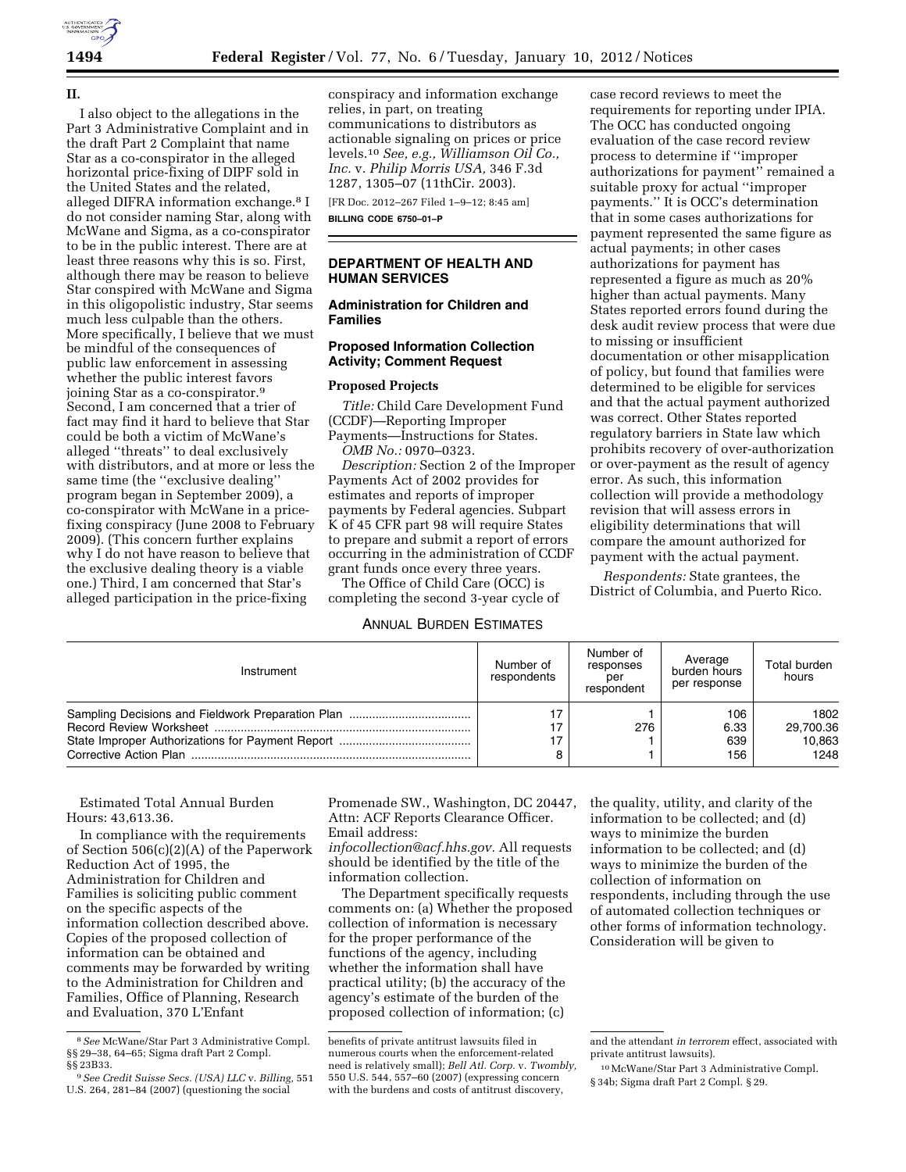

**II.** 

I also object to the allegations in the Part 3 Administrative Complaint and in the draft Part 2 Complaint that name Star as a co-conspirator in the alleged horizontal price-fixing of DIPF sold in the United States and the related, alleged DIFRA information exchange.8 I do not consider naming Star, along with McWane and Sigma, as a co-conspirator to be in the public interest. There are at least three reasons why this is so. First, although there may be reason to believe Star conspired with McWane and Sigma in this oligopolistic industry, Star seems much less culpable than the others. More specifically, I believe that we must be mindful of the consequences of public law enforcement in assessing whether the public interest favors joining Star as a co-conspirator.9 Second, I am concerned that a trier of fact may find it hard to believe that Star could be both a victim of McWane's alleged ''threats'' to deal exclusively with distributors, and at more or less the same time (the "exclusive dealing" program began in September 2009), a co-conspirator with McWane in a pricefixing conspiracy (June 2008 to February 2009). (This concern further explains why I do not have reason to believe that the exclusive dealing theory is a viable one.) Third, I am concerned that Star's alleged participation in the price-fixing

conspiracy and information exchange relies, in part, on treating communications to distributors as actionable signaling on prices or price levels.10 *See, e.g., Williamson Oil Co., Inc.* v. *Philip Morris USA,* 346 F.3d 1287, 1305–07 (11thCir. 2003).

[FR Doc. 2012–267 Filed 1–9–12; 8:45 am]

**BILLING CODE 6750–01–P** 

### **DEPARTMENT OF HEALTH AND HUMAN SERVICES**

## **Administration for Children and Families**

## **Proposed Information Collection Activity; Comment Request**

#### **Proposed Projects**

*Title:* Child Care Development Fund (CCDF)—Reporting Improper Payments—Instructions for States. *OMB No.:* 0970–0323.

*Description:* Section 2 of the Improper Payments Act of 2002 provides for estimates and reports of improper payments by Federal agencies. Subpart K of 45 CFR part 98 will require States to prepare and submit a report of errors occurring in the administration of CCDF grant funds once every three years.

The Office of Child Care (OCC) is completing the second 3-year cycle of

### ANNUAL BURDEN ESTIMATES

case record reviews to meet the requirements for reporting under IPIA. The OCC has conducted ongoing evaluation of the case record review process to determine if ''improper authorizations for payment'' remained a suitable proxy for actual ''improper payments.'' It is OCC's determination that in some cases authorizations for payment represented the same figure as actual payments; in other cases authorizations for payment has represented a figure as much as 20% higher than actual payments. Many States reported errors found during the desk audit review process that were due to missing or insufficient documentation or other misapplication of policy, but found that families were determined to be eligible for services and that the actual payment authorized was correct. Other States reported regulatory barriers in State law which prohibits recovery of over-authorization or over-payment as the result of agency error. As such, this information collection will provide a methodology revision that will assess errors in eligibility determinations that will compare the amount authorized for

*Respondents:* State grantees, the District of Columbia, and Puerto Rico.

payment with the actual payment.

| Instrument | Number of<br>respondents | Number of<br>responses<br>per<br>respondent | Average<br>burden hours<br>per response | Total burden<br>hours               |
|------------|--------------------------|---------------------------------------------|-----------------------------------------|-------------------------------------|
|            |                          | 276                                         | 106<br>6.33<br>639<br>156               | 1802<br>29.700.36<br>10.863<br>1248 |

Estimated Total Annual Burden Hours: 43,613.36.

In compliance with the requirements of Section 506(c)(2)(A) of the Paperwork Reduction Act of 1995, the Administration for Children and Families is soliciting public comment on the specific aspects of the information collection described above. Copies of the proposed collection of information can be obtained and comments may be forwarded by writing to the Administration for Children and Families, Office of Planning, Research and Evaluation, 370 L'Enfant

Promenade SW., Washington, DC 20447, Attn: ACF Reports Clearance Officer. Email address:

*[infocollection@acf.hhs.gov.](mailto:infocollection@acf.hhs.gov)* All requests should be identified by the title of the information collection.

The Department specifically requests comments on: (a) Whether the proposed collection of information is necessary for the proper performance of the functions of the agency, including whether the information shall have practical utility; (b) the accuracy of the agency's estimate of the burden of the proposed collection of information; (c)

the quality, utility, and clarity of the information to be collected; and (d) ways to minimize the burden information to be collected; and (d) ways to minimize the burden of the collection of information on respondents, including through the use of automated collection techniques or other forms of information technology. Consideration will be given to

<sup>8</sup>*See* McWane/Star Part 3 Administrative Compl. §§ 29–38, 64–65; Sigma draft Part 2 Compl. §§ 23B33.

<sup>9</sup>*See Credit Suisse Secs. (USA) LLC* v. *Billing,* 551 U.S. 264, 281–84 (2007) (questioning the social

benefits of private antitrust lawsuits filed in numerous courts when the enforcement-related need is relatively small); *Bell Atl. Corp.* v. *Twombly,*  550 U.S. 544, 557–60 (2007) (expressing concern with the burdens and costs of antitrust discovery,

and the attendant *in terrorem* effect, associated with private antitrust lawsuits).

<sup>10</sup>McWane/Star Part 3 Administrative Compl. § 34b; Sigma draft Part 2 Compl. § 29.